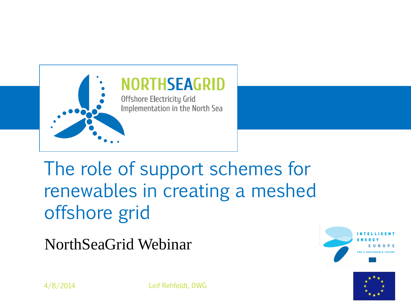

### The role of support schemes for renewables in creating a meshed offshore grid

NorthSeaGrid Webinar





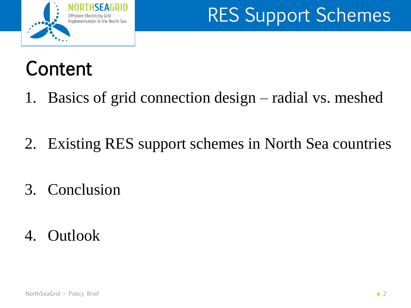

# Content

- 1. Basics of grid connection design radial vs. meshed
- 2. Existing RES support schemes in North Sea countries
- 3. Conclusion
- 4. Outlook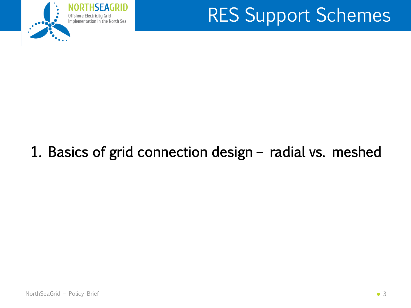

#### 1. Basics of grid connection design – radial vs. meshed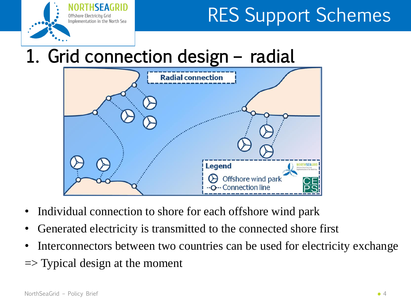

### 1. Grid connection design – radial



- Individual connection to shore for each offshore wind park
- Generated electricity is transmitted to the connected shore first
- Interconnectors between two countries can be used for electricity exchange
- $\Rightarrow$  Typical design at the moment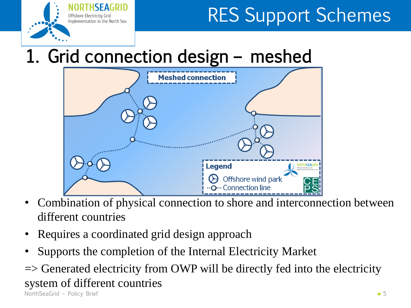

### 1. Grid connection design – meshed



- Combination of physical connection to shore and interconnection between different countries
- Requires a coordinated grid design approach
- Supports the completion of the Internal Electricity Market

 $\Rightarrow$  Generated electricity from OWP will be directly fed into the electricity system of different countries

NorthSeaGrid – Policy Brief • 5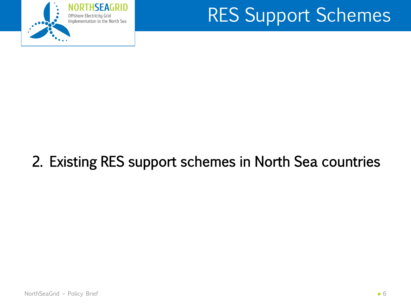

#### 2. Existing RES support schemes in North Sea countries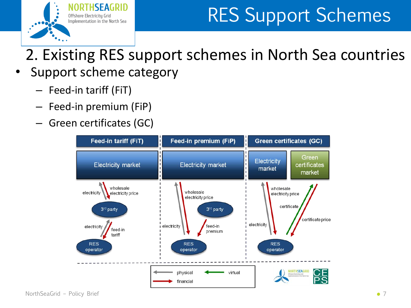

2. Existing RES support schemes in North Sea countries

- Support scheme category
	- Feed-in tariff (FiT)
	- Feed-in premium (FiP)
	- Green certificates (GC)

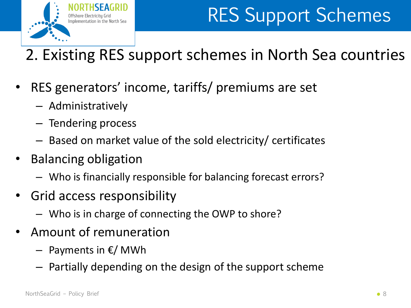

### 2. Existing RES support schemes in North Sea countries

- RES generators' income, tariffs/ premiums are set
	- Administratively
	- Tendering process
	- Based on market value of the sold electricity/ certificates
- Balancing obligation
	- Who is financially responsible for balancing forecast errors?
- Grid access responsibility
	- Who is in charge of connecting the OWP to shore?
- Amount of remuneration
	- Payments in €/ MWh
	- Partially depending on the design of the support scheme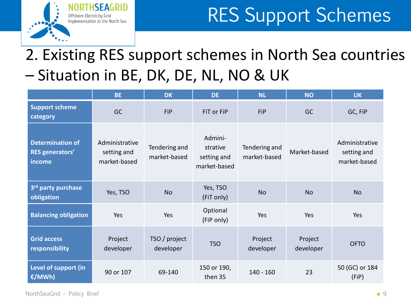

#### 2. Existing RES support schemes in North Sea countries – Situation in BE, DK, DE, NL, NO & UK

|                                                             | <b>BE</b>                                     | <b>DK</b>                     | <b>DE</b>                                          | <b>NL</b>                     | <b>NO</b>            | <b>UK</b>                                     |
|-------------------------------------------------------------|-----------------------------------------------|-------------------------------|----------------------------------------------------|-------------------------------|----------------------|-----------------------------------------------|
| <b>Support scheme</b><br>category                           | <b>GC</b>                                     | FiP                           | FiT or FiP                                         | FiP                           | <b>GC</b>            | GC, FiP                                       |
| <b>Determination of</b><br><b>RES</b> generators'<br>income | Administrative<br>setting and<br>market-based | Tendering and<br>market-based | Admini-<br>strative<br>setting and<br>market-based | Tendering and<br>market-based | Market-based         | Administrative<br>setting and<br>market-based |
| 3 <sup>rd</sup> party purchase<br>obligation                | Yes, TSO                                      | <b>No</b>                     | Yes, TSO<br>(FiT only)                             | <b>No</b>                     | <b>No</b>            | <b>No</b>                                     |
| <b>Balancing obligation</b>                                 | Yes                                           | Yes                           | Optional<br>(FiP only)                             | Yes                           | Yes                  | Yes                                           |
| <b>Grid access</b><br>responsibility                        | Project<br>developer                          | TSO / project<br>developer    | <b>TSO</b>                                         | Project<br>developer          | Project<br>developer | <b>OFTO</b>                                   |
| Level of support (in<br>€/MWh)                              | 90 or 107                                     | 69-140                        | 150 or 190,<br>then 35                             | $140 - 160$                   | 23                   | 50 (GC) or 184<br>(FiP)                       |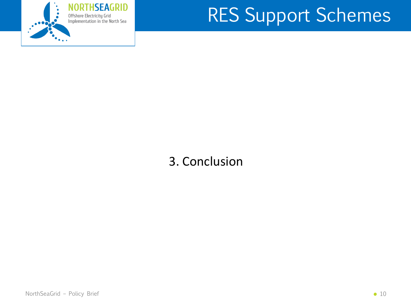

#### 3. Conclusion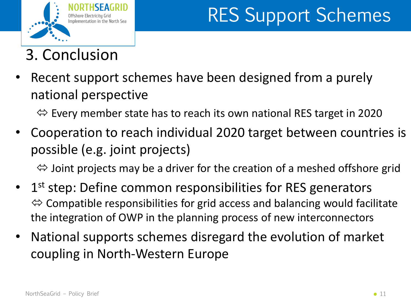

#### 3. Conclusion

Recent support schemes have been designed from a purely national perspective

 $\Leftrightarrow$  Every member state has to reach its own national RES target in 2020

• Cooperation to reach individual 2020 target between countries is possible (e.g. joint projects)

 $\Leftrightarrow$  Joint projects may be a driver for the creation of a meshed offshore grid

- 1<sup>st</sup> step: Define common responsibilities for RES generators  $\Leftrightarrow$  Compatible responsibilities for grid access and balancing would facilitate the integration of OWP in the planning process of new interconnectors
- National supports schemes disregard the evolution of market coupling in North-Western Europe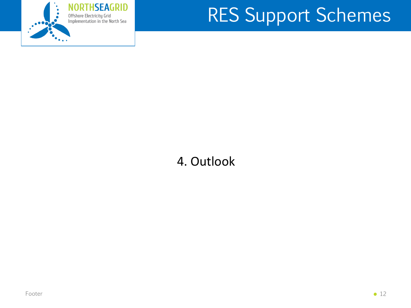

#### 4. Outlook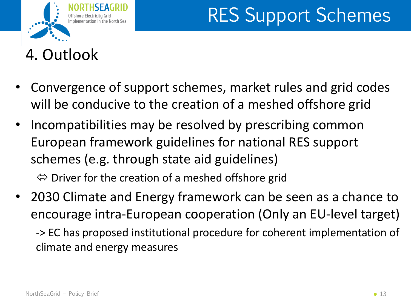

4. Outlook

- Convergence of support schemes, market rules and grid codes will be conducive to the creation of a meshed offshore grid
- Incompatibilities may be resolved by prescribing common European framework guidelines for national RES support schemes (e.g. through state aid guidelines)  $\Leftrightarrow$  Driver for the creation of a meshed offshore grid
- 2030 Climate and Energy framework can be seen as a chance to encourage intra-European cooperation (Only an EU-level target)

-> EC has proposed institutional procedure for coherent implementation of climate and energy measures